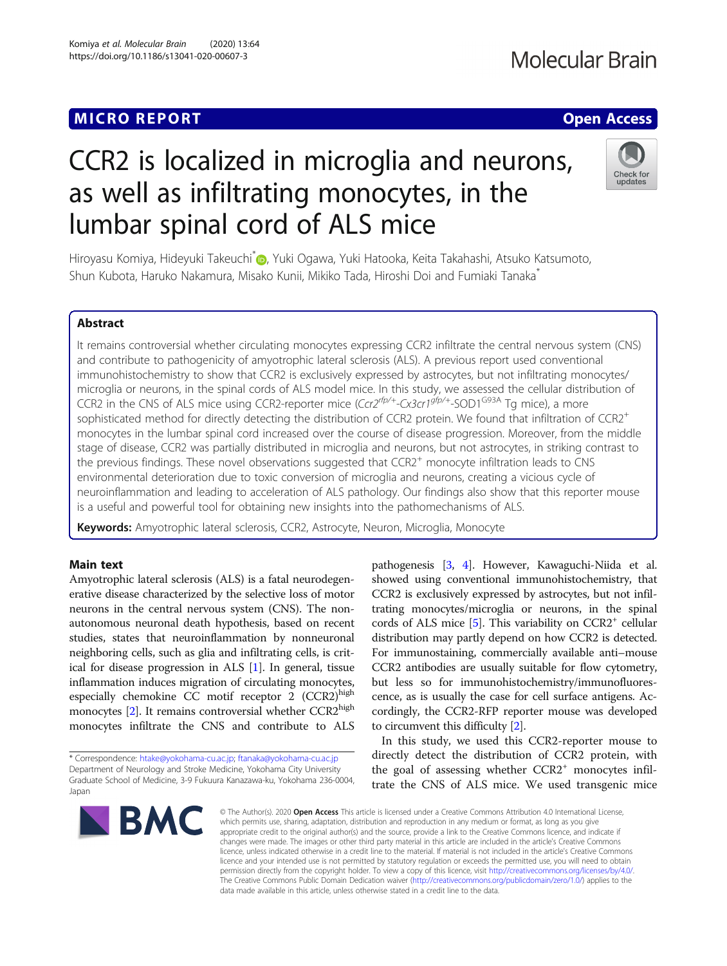## MICRO REPORT AND INTERNATIONAL CONTRACT CONTRACT OF THE CONTRACT OF THE CONTRACT OF THE CONTRACT OF THE CONTRACT OF THE CONTRACT OF THE CONTRACT OF THE CONTRACT OF THE CONTRACT OF THE CONTRACT OF THE CONTRACT OF THE CONTRA

# CCR2 is localized in microglia and neurons, as well as infiltrating monocytes, in the lumbar spinal cord of ALS mice



Hiroyasu Komiya[,](http://orcid.org/0000-0001-5912-7581) Hideyuki Takeuchi<sup>\*</sup> , Yuki Ogawa, Yuki Hatooka, Keita Takahashi, Atsuko Katsumoto, Shun Kubota, Haruko Nakamura, Misako Kunii, Mikiko Tada, Hiroshi Doi and Fumiaki Tanaka\*

### Abstract

It remains controversial whether circulating monocytes expressing CCR2 infiltrate the central nervous system (CNS) and contribute to pathogenicity of amyotrophic lateral sclerosis (ALS). A previous report used conventional immunohistochemistry to show that CCR2 is exclusively expressed by astrocytes, but not infiltrating monocytes/ microglia or neurons, in the spinal cords of ALS model mice. In this study, we assessed the cellular distribution of CCR2 in the CNS of ALS mice using CCR2-reporter mice  $(Cc12^{rfp/4}$ -Cx3cr1<sup>gfp/+</sup>-SOD1<sup>G93A</sup> Tg mice), a more sophisticated method for directly detecting the distribution of CCR2 protein. We found that infiltration of CCR2<sup>+</sup> monocytes in the lumbar spinal cord increased over the course of disease progression. Moreover, from the middle stage of disease, CCR2 was partially distributed in microglia and neurons, but not astrocytes, in striking contrast to the previous findings. These novel observations suggested that CCR2<sup>+</sup> monocyte infiltration leads to CNS environmental deterioration due to toxic conversion of microglia and neurons, creating a vicious cycle of neuroinflammation and leading to acceleration of ALS pathology. Our findings also show that this reporter mouse is a useful and powerful tool for obtaining new insights into the pathomechanisms of ALS.

Keywords: Amyotrophic lateral sclerosis, CCR2, Astrocyte, Neuron, Microglia, Monocyte

#### Main text

Amyotrophic lateral sclerosis (ALS) is a fatal neurodegenerative disease characterized by the selective loss of motor neurons in the central nervous system (CNS). The nonautonomous neuronal death hypothesis, based on recent studies, states that neuroinflammation by nonneuronal neighboring cells, such as glia and infiltrating cells, is critical for disease progression in ALS [\[1\]](#page-3-0). In general, tissue inflammation induces migration of circulating monocytes, especially chemokine CC motif receptor  $2$  (CCR2)<sup>high</sup> monocytes [\[2\]](#page-3-0). It remains controversial whether CCR2<sup>high</sup> monocytes infiltrate the CNS and contribute to ALS

\* Correspondence: [htake@yokohama-cu.ac.jp;](mailto:htake@yokohama-cu.ac.jp) [ftanaka@yokohama-cu.ac.jp](mailto:ftanaka@yokohama-cu.ac.jp) Department of Neurology and Stroke Medicine, Yokohama City University Graduate School of Medicine, 3-9 Fukuura Kanazawa-ku, Yokohama 236-0004, Japan



pathogenesis [[3](#page-3-0), [4\]](#page-3-0). However, Kawaguchi-Niida et al. showed using conventional immunohistochemistry, that CCR2 is exclusively expressed by astrocytes, but not infiltrating monocytes/microglia or neurons, in the spinal cords of ALS mice  $[5]$  $[5]$ . This variability on CCR2<sup>+</sup> cellular distribution may partly depend on how CCR2 is detected. For immunostaining, commercially available anti–mouse CCR2 antibodies are usually suitable for flow cytometry, but less so for immunohistochemistry/immunofluorescence, as is usually the case for cell surface antigens. Accordingly, the CCR2-RFP reporter mouse was developed to circumvent this difficulty [\[2\]](#page-3-0).

In this study, we used this CCR2-reporter mouse to directly detect the distribution of CCR2 protein, with the goal of assessing whether  $CCR2$ <sup>+</sup> monocytes infiltrate the CNS of ALS mice. We used transgenic mice

© The Author(s), 2020 **Open Access** This article is licensed under a Creative Commons Attribution 4.0 International License, which permits use, sharing, adaptation, distribution and reproduction in any medium or format, as long as you give appropriate credit to the original author(s) and the source, provide a link to the Creative Commons licence, and indicate if changes were made. The images or other third party material in this article are included in the article's Creative Commons licence, unless indicated otherwise in a credit line to the material. If material is not included in the article's Creative Commons licence and your intended use is not permitted by statutory regulation or exceeds the permitted use, you will need to obtain permission directly from the copyright holder. To view a copy of this licence, visit [http://creativecommons.org/licenses/by/4.0/.](http://creativecommons.org/licenses/by/4.0/) The Creative Commons Public Domain Dedication waiver [\(http://creativecommons.org/publicdomain/zero/1.0/](http://creativecommons.org/publicdomain/zero/1.0/)) applies to the data made available in this article, unless otherwise stated in a credit line to the data.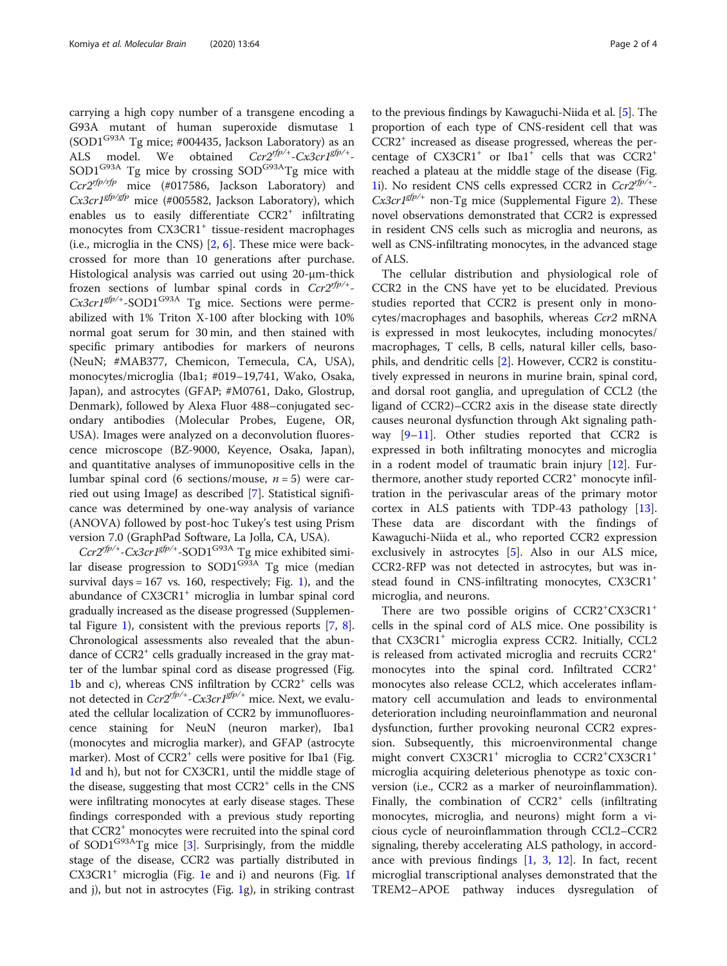carrying a high copy number of a transgene encoding a G93A mutant of human superoxide dismutase 1 (SOD1<sup>G93A</sup> Tg mice; #004435, Jackson Laboratory) as an ALS model. We obtained  $Cr2^{rfp/+}$ - $Cx3cr1^{gfp/+}$ ALS model. We obtained Ccr2<sup>ypp/+</sup>-Cx3cr1<sup>gpy+</sup>-<br>SOD1<sup>G93A</sup> Tg mice by crossing SOD<sup>G93A</sup>Tg mice with Ccr2<sup>rfp/rfp</sup> mice (#017586, Jackson Laboratory) and  $Cx3cr1<sup>gfp/gfp</sup>$  mice (#005582, Jackson Laboratory), which enables us to easily differentiate  $CCR2<sup>+</sup>$  infiltrating monocytes from CX3CR1<sup>+</sup> tissue-resident macrophages (i.e., microglia in the CNS) [[2,](#page-3-0) [6\]](#page-3-0). These mice were backcrossed for more than 10 generations after purchase. Histological analysis was carried out using 20-μm-thick frozen sections of lumbar spinal cords in  $Cr2^{rpp/+}$ .<br> $Cr2cr1^{gfp/+}$ -SOD1<sup>G93A</sup> Tg mice Sections were perme- $Cx3cr1^{gfp/+}$ -SOD1<sup>G93A</sup> Tg mice. Sections were perme-<br>abilized with 1% Triton X-100 after blocking with 10% abilized with 1% Triton X-100 after blocking with 10% normal goat serum for 30 min, and then stained with specific primary antibodies for markers of neurons (NeuN; #MAB377, Chemicon, Temecula, CA, USA), monocytes/microglia (Iba1; #019–19,741, Wako, Osaka, Japan), and astrocytes (GFAP; #M0761, Dako, Glostrup, Denmark), followed by Alexa Fluor 488–conjugated secondary antibodies (Molecular Probes, Eugene, OR, USA). Images were analyzed on a deconvolution fluorescence microscope (BZ-9000, Keyence, Osaka, Japan), and quantitative analyses of immunopositive cells in the lumbar spinal cord (6 sections/mouse,  $n = 5$ ) were car-ried out using ImageJ as described [\[7](#page-3-0)]. Statistical significance was determined by one-way analysis of variance (ANOVA) followed by post-hoc Tukey's test using Prism version 7.0 (GraphPad Software, La Jolla, CA, USA).

 $Ccr2^{rfp/+}$ -Cx3cr1<sup>gfp/+</sup>-SOD1<sup>G93A</sup> Tg mice exhibited similar disease progression to  $SOD1^{G\bar{9}3A}$  Tg mice (median survival days =  $167$  $167$  vs. 160, respectively; Fig. 1), and the abundance of CX3CR1<sup>+</sup> microglia in lumbar spinal cord gradually increased as the disease progressed (Supplemental Figure [1\)](#page-3-0), consistent with the previous reports [[7](#page-3-0), [8](#page-3-0)]. Chronological assessments also revealed that the abundance of CCR2<sup>+</sup> cells gradually increased in the gray matter of the lumbar spinal cord as disease progressed (Fig. [1b](#page-2-0) and c), whereas CNS infiltration by CCR2<sup>+</sup> cells was not detected in  $Ccr2^{rfp/+}$ -Cx3cr1<sup>gfp/+</sup> mice. Next, we evaluated the cellular localization of CCR2 by immunofluorescence staining for NeuN (neuron marker), Iba1 (monocytes and microglia marker), and GFAP (astrocyte marker). Most of CCR2<sup>+</sup> cells were positive for Iba1 (Fig. [1d](#page-2-0) and h), but not for CX3CR1, until the middle stage of the disease, suggesting that most  $CCR2<sup>+</sup>$  cells in the CNS were infiltrating monocytes at early disease stages. These findings corresponded with a previous study reporting that CCR2+ monocytes were recruited into the spinal cord of SOD1G93ATg mice [\[3](#page-3-0)]. Surprisingly, from the middle stage of the disease, CCR2 was partially distributed in  $CX3CR1<sup>+</sup>$  $CX3CR1<sup>+</sup>$  $CX3CR1<sup>+</sup>$  microglia (Fig. 1e and i) and neurons (Fig. [1f](#page-2-0) and j), but not in astrocytes (Fig. [1g](#page-2-0)), in striking contrast

to the previous findings by Kawaguchi-Niida et al. [[5\]](#page-3-0). The proportion of each type of CNS-resident cell that was CCR2+ increased as disease progressed, whereas the percentage of  $CX3CR1<sup>+</sup>$  or Iba1<sup>+</sup> cells that was  $CCR2<sup>+</sup>$ reached a plateau at the middle stage of the disease (Fig. [1i](#page-2-0)). No resident CNS cells expressed CCR2 in Ccr2rfp/+- $Cx3cr1^{gfp/+}$  non-Tg mice (Supplemental Figure [2](#page-3-0)). These novel observations demonstrated that CCR2 is expressed in resident CNS cells such as microglia and neurons, as well as CNS-infiltrating monocytes, in the advanced stage of ALS.

The cellular distribution and physiological role of CCR2 in the CNS have yet to be elucidated. Previous studies reported that CCR2 is present only in monocytes/macrophages and basophils, whereas Ccr2 mRNA is expressed in most leukocytes, including monocytes/ macrophages, T cells, B cells, natural killer cells, basophils, and dendritic cells [[2\]](#page-3-0). However, CCR2 is constitutively expressed in neurons in murine brain, spinal cord, and dorsal root ganglia, and upregulation of CCL2 (the ligand of CCR2)–CCR2 axis in the disease state directly causes neuronal dysfunction through Akt signaling pathway  $[9-11]$  $[9-11]$  $[9-11]$  $[9-11]$ . Other studies reported that CCR2 is expressed in both infiltrating monocytes and microglia in a rodent model of traumatic brain injury [\[12](#page-3-0)]. Furthermore, another study reported CCR2<sup>+</sup> monocyte infiltration in the perivascular areas of the primary motor cortex in ALS patients with TDP-43 pathology [\[13](#page-3-0)]. These data are discordant with the findings of Kawaguchi-Niida et al., who reported CCR2 expression exclusively in astrocytes [\[5](#page-3-0)]. Also in our ALS mice, CCR2-RFP was not detected in astrocytes, but was instead found in CNS-infiltrating monocytes, CX3CR1<sup>+</sup> microglia, and neurons.

There are two possible origins of CCR2<sup>+</sup>CX3CR1<sup>+</sup> cells in the spinal cord of ALS mice. One possibility is that CX3CR1+ microglia express CCR2. Initially, CCL2 is released from activated microglia and recruits CCR2<sup>+</sup> monocytes into the spinal cord. Infiltrated CCR2<sup>+</sup> monocytes also release CCL2, which accelerates inflammatory cell accumulation and leads to environmental deterioration including neuroinflammation and neuronal dysfunction, further provoking neuronal CCR2 expression. Subsequently, this microenvironmental change might convert CX3CR1<sup>+</sup> microglia to CCR2<sup>+</sup>CX3CR1<sup>+</sup> microglia acquiring deleterious phenotype as toxic conversion (i.e., CCR2 as a marker of neuroinflammation). Finally, the combination of  $CCR2<sup>+</sup>$  cells (infiltrating monocytes, microglia, and neurons) might form a vicious cycle of neuroinflammation through CCL2–CCR2 signaling, thereby accelerating ALS pathology, in accordance with previous findings  $[1, 3, 12]$  $[1, 3, 12]$  $[1, 3, 12]$  $[1, 3, 12]$  $[1, 3, 12]$ . In fact, recent microglial transcriptional analyses demonstrated that the TREM2–APOE pathway induces dysregulation of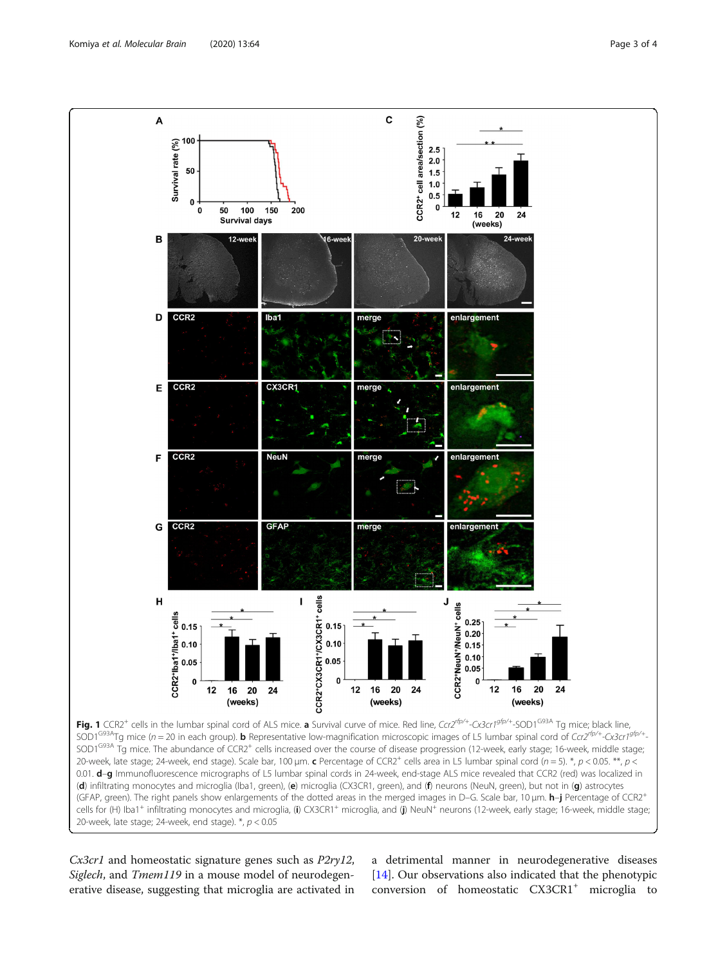<span id="page-2-0"></span>

20-week, late stage; 24-week, end stage).  $*$ ,  $p < 0.05$ 

Cx3cr1 and homeostatic signature genes such as P2ry12, Siglech, and Tmem119 in a mouse model of neurodegenerative disease, suggesting that microglia are activated in a detrimental manner in neurodegenerative diseases [[14\]](#page-3-0). Our observations also indicated that the phenotypic conversion of homeostatic CX3CR1<sup>+</sup> microglia to